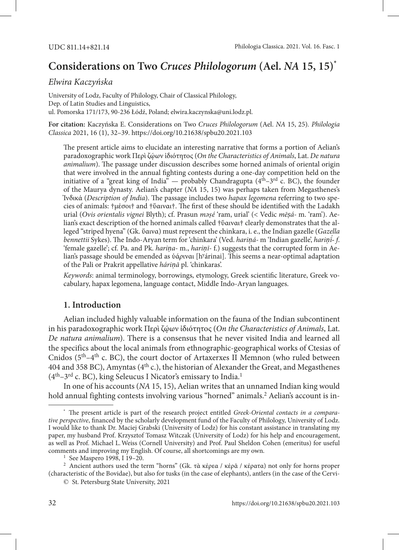# **Considerations on Two** *Cruces Philologorum* **(Ael.** *NA* **15, 15)\***

## *Elwira Kaczyńska*

University of Lodz, Faculty of Philology, Chair of Classical Philology, Dep. of Latin Studies and Linguistics, ul. Pomorska 171/173, 90-236 Łódź, Poland; elwira.kaczynska@uni.lodz.pl.

**For citation:** Kaczyńska E. Considerations on Two *Сruces Philologorum* (Ael. *NA* 15, 25)*. Philologia Classica* 2021, 16 (1), 32–39.<https://doi.org/10.21638/spbu20.2021.103>

The present article aims to elucidate an interesting narrative that forms a portion of Aelian's paradoxographic work Περὶ ζῴων ἰδιότητος (*On the Characteristics of Animals*, Lat. *De natura animalium*). The passage under discussion describes some horned animals of oriental origin that were involved in the annual fighting contests during a one-day competition held on the initiative of a "great king of India"  $-$  probably Chandragupta ( $4<sup>th</sup>-3<sup>rd</sup>$  c. BC), the founder of the Maurya dynasty. Aelian's chapter (*NA* 15, 15) was perhaps taken from Megasthenes's Ἰνδικά (*Description of India*). The passage includes two *hapax legomena* referring to two species of animals: †μέσοι† and †ὕαιναι†. The first of these should be identified with the Ladakh urial (*Ovis orientalis vignei* Blyth); cf. Prasun *məṣé* 'ram, urial' (< Vedic *mēṣá-* m. 'ram'). Aelian's exact description of the horned animals called †ὕαιναι† clearly demonstrates that the alleged "striped hyena" (Gk. ὕαινα) must represent the chinkara, i. e., the Indian gazelle (*Gazella bennettii* Sykes). The Indo-Aryan term for 'chinkara' (Ved. *hariṇá-* m 'Indian gazelle', *hariṇī́- f*. 'female gazelle'; cf. Pa. and Pk. *hariṇa-* m., *hariṇī-* f.) suggests that the corrupted form in Aelian's passage should be emended as ὑά*ρ*ιναι [hy árinai]. This seems a near-optimal adaptation of the Pali or Prakrit appellative *háriṇā* pl. 'chinkaras'.

*Keywords*: animal terminology, borrowings, etymology, Greek scientific literature, Greek vocabulary, hapax legomena, language contact, Middle Indo-Aryan languages.

## **1. Introduction**

Aelian included highly valuable information on the fauna of the Indian subcontinent in his paradoxographic work Περὶ ζῴων ἰδιότητος (*On the Characteristics of Animals*, Lat. *De natura animalium*). There is a consensus that he never visited India and learned all the specifics about the local animals from ethnographic-geographical works of Ctesias of Cnidos (5th–4th c. BC), the court doctor of Artaxerxes II Memnon (who ruled between 404 and 358 BC), Amyntas ( $4<sup>th</sup>$  c.), the historian of Alexander the Great, and Megasthenes  $(4<sup>th</sup>-3<sup>rd</sup>$  c. BC), king Seleucus I Nicator's emissary to India.<sup>1</sup>

In one of his accounts (*NA* 15, 15), Aelian writes that an unnamed Indian king would hold annual fighting contests involving various "horned" animals.<sup>2</sup> Aelian's account is in-

<sup>\*</sup> The present article is part of the research project entitled *Greek-Oriental contacts in a comparative perspective*, financed by the scholarly development fund of the Faculty of Philology, University of Lodz. I would like to thank Dr. Maciej Grabski (University of Lodz) for his constant assistance in translating my paper, my husband Prof. Krzysztof Tomasz Witczak (University of Lodz) for his help and encouragement, as well as Prof. Michael L.Weiss (Cornell University) and Prof. Paul Sheldon Cohen (emeritus) for useful comments and improving my English. Of course, all shortcomings are my own.

<sup>&</sup>lt;sup>2</sup> Ancient authors used the term "horns" (Gk. τὰ κέρεα / κέρᾶ / κέρατα) not only for horns proper (characteristic of the Bovidae), but also for tusks (in the case of elephants), antlers (in the case of the Cervi-

<sup>©</sup> St. Petersburg State University, 2021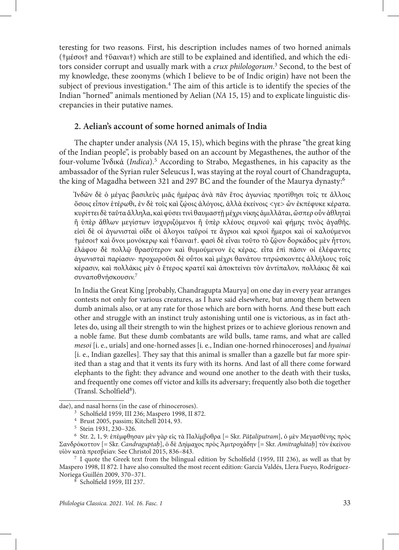teresting for two reasons. First, his description includes names of two horned animals (†μέσοι† and †ὕαιναι†) which are still to be explained and identified, and which the editors consider corrupt and usually mark with a *crux philologorum*. <sup>3</sup> Second, to the best of my knowledge, these zoonyms (which I believe to be of Indic origin) have not been the subject of previous investigation.<sup>4</sup> The aim of this article is to identify the species of the Indian "horned" animals mentioned by Aelian (*NA* 15, 15) and to explicate linguistic discrepancies in their putative names.

## **2. Aelian's account of some horned animals of India**

The chapter under analysis (*NA* 15, 15), which begins with the phrase "the great king of the Indian people", is probably based on an account by Megasthenes, the author of the four-volume Ἰνδικά (*Indica*).5 According to Strabo, Megasthenes, in his capacity as the ambassador of the Syrian ruler Seleucus I, was staying at the royal court of Chandragupta, the king of Magadha between 321 and 297 BC and the founder of the Maurya dynasty:6

Ἰνδῶν δὲ ὁ μέγας βασιλεὺς μιᾶς ἡμέρας ἀνὰ πᾶν ἔτος ἀγωνίας προτίθησι τοῖς τε ἄλλοις ὅσοις εἶπον ἑτέρωθι, ἐν δὲ τοῖς καὶ ζῴοις ἀλόγοις, ἀλλὰ ἐκείνοις <γε> ὧν ἐκπέφυκε κέρατα. κυρίττει δὲ ταῦτα ἄλληλα, καὶ φύσει τινὶ θαυμαστῇ μέχρι νίκης ἁμιλλᾶται, ὥσπερ οὖν ἀθληταὶ ἢ ὑπὲρ ἄθλων μεγίστων ἰσχυριζόμενοι ἢ ὑπὲρ κλέους σεμνοῦ καὶ φήμης τινὸς ἀγαθῆς. εἰσὶ δὲ οἱ ἀγωνισταὶ οἵδε οἱ ἄλογοι ταῦροί τε ἄγριοι καὶ κριοὶ ἥμεροι καὶ οἱ καλούμενοι †μέσοι† καὶ ὄνοι μονόκερῳ καὶ †ὕαιναι†. φασὶ δὲ εἶναι τοῦτο τὸ ζῷον δορκάδος μὲν ἧττον, ἐλάφου δὲ πολλῷ θρασύτερον καὶ θυμούμενον ἐς κέρας. εἶτα ἐπὶ πᾶσιν οἱ ἐλέφαντες ἀγωνισταὶ παρίασιν· προχωροῦσι δὲ οὗτοι καὶ μέχρι θανάτου τιτρώσκοντες ἀλλήλους τοῖς κέρασιν, καὶ πολλάκις μὲν ὁ ἕτερος κρατεῖ καὶ ἀποκτείνει τὸν ἀντίπαλον, πολλάκις δὲ καὶ συναποθνήσκουσιν.7

In India the Great King [probably, Chandragupta Maurya] on one day in every year arranges contests not only for various creatures, as I have said elsewhere, but among them between dumb animals also, or at any rate for those which are born with horns. And these butt each other and struggle with an instinct truly astonishing until one is victorious, as in fact athletes do, using all their strength to win the highest prizes or to achieve glorious renown and a noble fame. But these dumb combatants are wild bulls, tame rams, and what are called *mesoi* [i. e., urials] and one-horned asses [i. e., Indian one-horned rhinoceroses] and *hyainai*  [i. e., Indian gazelles]. They say that this animal is smaller than a gazelle but far more spirited than a stag and that it vents its fury with its horns. And last of all there come forward elephants to the fight: they advance and wound one another to the death with their tusks, and frequently one comes off victor and kills its adversary; frequently also both die together (Transl. Scholfield<sup>8</sup>).

Maspero 1998, II 872. I have also consulted the most recent edition: García Valdés, Llera Fueyo, Rodríguez-Noriega Guillén 2009, 370–371. 8 Scholfield 1959, III 237.

dae), and nasal horns (in the case of rhinoceroses).<br><sup>3</sup> Scholfield 1959, III 236; Maspero 1998, II 872.

<sup>&</sup>lt;sup>4</sup> Brust 2005, passim; Kitchell 2014, 93.<br><sup>5</sup> Stein 1931, 230–326.<br><sup>6</sup> Str. 2, 1, 9: ἐπέμφθησαν μὲν γὰρ εἰς τὰ Παλίμβοθρα [= Skr. *Pāṭaliputram*], ὁ μὲν Μεγασθένης πρὸς Σανδρόκοττον [= Skr. *Candraguptaḥ*], ὁ δὲ Δηίμαχος πρὸς Ἀμιτροχάδην [= Skr. *Amitraghātaḥ*] τὸν ἐκείνου υἱὸν κατὰ πρεσβείαν. See Christol 2015, 836–843. 7 I quote the Greek text from the bilingual edition by Scholfield (1959, III 236), as well as that by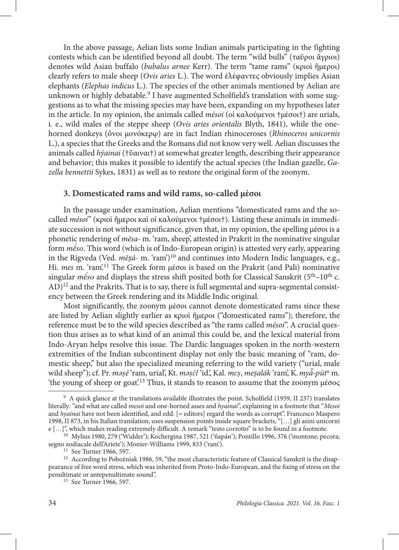In the above passage, Aelian lists some Indian animals participating in the fighting contests which can be identified beyond all doubt. The term "wild bulls" (ταῦροι ἄγριοι) denotes wild Asian buffalo (*bubalus arnee* Kerr). The term "tame rams" (κριοὶ ἥμεροι) clearly refers to male sheep (*Ovis aries* L.). The word ἐλέφαντες obviously implies Asian elephants (*Elephas indicus* L.). The species of the other animals mentioned by Aelian are unknown or highly debatable.<sup>9</sup> I have augmented Scholfield's translation with some suggestions as to what the missing species may have been, expanding on my hypotheses later in the article. In my opinion, the animals called *mésoi* (οἱ καλούμενοι †μέσοι†) are urials, i. e., wild males of the steppe sheep (*Ovis aries orientalis* Blyth, 1841), while the onehorned donkeys (ὄνοι μονόκερῳ) are in fact Indian rhinoceroses (*Rhinoceros unicornis*  L.), a species that the Greeks and the Romans did not know very well. Aelian discusses the animals called *hýainai* (†ὕαιναι†) at somewhat greater length, describing their appearance and behavior; this makes it possible to identify the actual species (the Indian gazelle, *Gazella bennettii* Sykes, 1831) as well as to restore the original form of the zoonym.

# **3. Domesticated rams and wild rams, so-called μέσοι**

In the passage under examination, Aelian mentions "domesticated rams and the socalled *mésoi*" (κριοὶ ἥμεροι καὶ οἱ καλούμενοι †μέσοι†). Listing these animals in immediate succession is not without significance, given that, in my opinion, the spelling μέσοι is a phonetic rendering of *mēsa-* m. 'ram, sheep', attested in Prakrit in the nominative singular form *mḗso*. This word (which is of Indo-European origin) is attested very early, appearing in the Rigveda (Ved. *mēṣá-* m. 'ram')10 and continues into Modern Indic languages, e.g., Hi. *mes* m. 'ram'.11 The Greek form μέσοι is based on the Prakrit (and Pali) nominative singular *m* $\epsilon$ *so* and displays the stress shift posited both for Classical Sanskrit ( $5<sup>th</sup>$ – $10<sup>th</sup>$  c.) AD)12 and the Prakrits. That is to say, there is full segmental and supra-segmental consistency between the Greek rendering and its Middle Indic original.

Most significantly, the zoonym μέσοι cannot denote domesticated rams since these are listed by Aelian slightly earlier as κριοὶ ἥμεροι ("domesticated rams"); therefore, the reference must be to the wild species described as "the rams called *mésoi*". A crucial question thus arises as to what kind of an animal this could be, and the lexical material from Indo-Aryan helps resolve this issue. The Dardic languages spoken in the north-western extremities of the Indian subcontinent display not only the basic meaning of "ram, domestic sheep," but also the specialized meaning referring to the wild variety ("urial, male wild sheep"); cf. Pr. *məṣé* 'ram, urial', Kt. *məṣɛ́ l* 'id.', Kal. *mɛṣ*, *meṣalák* 'ram', K.*myā̃-pūtu* m. 'the young of sheep or goat'.13 Thus, it stands to reason to assume that the zoonym μέσος

<sup>9</sup> A quick glance at the translations available illustrates the point. Scholfield (1959, II 237) translates literally: "and what are called *mesoi* and one-horned asses and *hyainai*", explaining in a footnote that "*Mesoi*  and *hyainai* have not been identified, and edd. [= editors] regard the words as corrupt". Francesco Maspero 1998, II 873, in his Italian translation, uses suspension points inside square brackets, "[…] gli asini unicorni e […]", which makes reading extremely difficult. A remark "testo corrotto" is to be found in a footnote.

<sup>10</sup> Mylius 1980, 279 ('Widder'); Kochergina 1987, 521 ('барáн'); Pontillo 1996, 376 ('montone; pecora;

<sup>&</sup>lt;sup>11</sup> See Turner 1966, 597.<br><sup>12</sup> According to Pobożniak 1986, 59, "the most characteristic feature of Classical Sanskrit is the disappearance of free word stress, which was inherited from Proto-Indo-European, and the fixing of stress on the penultimate or antepenultimate sound".<br>
<sup>13</sup> See Turner 1966, 597.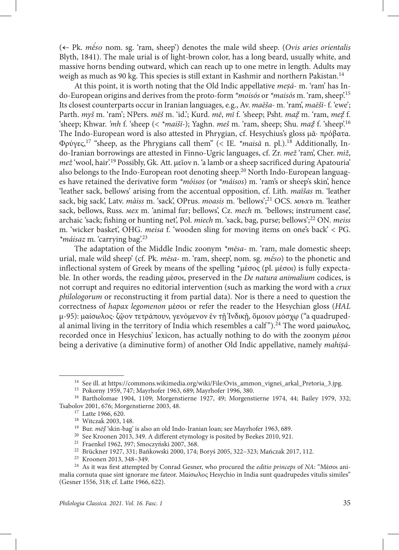( Pk. *mḗso* nom. sg. 'ram, sheep') denotes the male wild sheep. (*Ovis aries orientalis*  Blyth, 1841). The male urial is of light-brown color, has a long beard, usually white, and massive horns bending outward, which can reach up to one metre in length. Adults may weigh as much as 90 kg. This species is still extant in Kashmir and northern Pakistan.14

At this point, it is worth noting that the Old Indic appellative *meṣá*- m. 'ram' has Indo-European origins and derives from the proto-form *\*moisós* or *\*maisós* m. 'ram, sheep'.15 Its closest counterparts occur in Iranian languages, e.g., Av. *maēša-* m. 'ram', *maēšī-* f. 'ewe'; Parth. *myš* m. 'ram'; NPers. *mēš* m. 'id.'; Kurd. *mē*, *mī* f. 'sheep; Psht. *maẓ̌*m. 'ram, *meẓ̌*f. 'sheep; Khwar. *'mh* f. 'sheep (< *\*maišī-*); Yaghn. *meš* m. 'ram, sheep; Shu. *maẓ̌*f. 'sheep'.16 The Indo-European word is also attested in Phrygian, cf. Hesychius's gloss μᾶ· πρόβατα. Φρύγες,17 "sheep, as the Phrygians call them" (< IE. *\*maisā* n. pl.).18 Additionally, Indo-Iranian borrowings are attested in Finno-Ugric languages, cf. Zr. *mež* 'ram', Cher. *miž*, *mež* 'wool, hair'.19 Possibly, Gk. Att. μεῖον n. 'a lamb or a sheep sacrificed during Apatouria' also belongs to the Indo-European root denoting sheep.<sup>20</sup> North Indo-European languages have retained the derivative form *\*móisos* (or *\*máisos*) m. 'ram's or sheep's skin', hence 'leather sack, bellows' arising from the accentual opposition, cf. Lith. *maĩšas* m. 'leather sack, big sack', Latv. *màiss* m. 'sack', OPrus. *moasis* m. 'bellows';21 OCS. *мѣхъ* m. 'leather sack, bellows, Russ. *мех* m. 'animal fur; bellows', Cz. *mech* m. 'bellows; instrument case', archaic 'sack; fishing or hunting net', Pol. *miech* m. 'sack, bag, purse; bellows';22 ON. *meiss*  m. 'wicker basket', OHG. *meisa* f. 'wooden sling for moving items on one's back' < PG. *\*máisaz* m. 'carrying bag'.23

The adaptation of the Middle Indic zoonym *\*mēsa-* m. 'ram, male domestic sheep; urial, male wild sheep' (cf. Pk. *mēsa-* m. 'ram, sheep', nom. sg. *mḗso*) to the phonetic and inflectional system of Greek by means of the spelling \*μέσος (pl. μέσοι) is fully expectable. In other words, the reading μέσοι, preserved in the *De natura animalium* codices, is not corrupt and requires no editorial intervention (such as marking the word with a *crux philologorum* or reconstructing it from partial data). Nor is there a need to question the correctness of *hapax legomenon* μέσοι or refer the reader to the Hesychian gloss (*HAL*  μ-95): μαίσωλος· ζῷον τετράπουν, γενόμενον ἐν τῇ Ἰνδικῇ, ὅμοιον μόσχῳ ("a quadrupedal animal living in the territory of India which resembles a calf").<sup>24</sup> The word μαίσωλος, recorded once in Hesychius' lexicon, has actually nothing to do with the zoonym μέσοι being a derivative (a diminutive form) of another Old Indic appellative, namely *mahiṣá-*

<sup>&</sup>lt;sup>14</sup> See ill. at [https://commons.wikimedia.org/wiki/File:Ovis\\_ammon\\_vignei\\_arkal\\_Pretoria\\_3.jpg](https://commons.wikimedia.org/wiki/File:Ovis_ammon_vignei_arkal_Pretoria_3.jpg).<br><sup>15</sup> Pokorny 1959, 747; Mayrhofer 1963, 689; Mayrhofer 1996, 380.

<sup>&</sup>lt;sup>16</sup> Bartholomae 1904, 1109; Morgenstierne 1927, 49; Morgenstierne 1974, 44; Bailey 1979, 332; Tsabolov 2001, 676; Morgenstierne 2003, 48. 17 Latte 1966, 620.

<sup>&</sup>lt;sup>19</sup> Bur. *m*ē*š* 'skin-bag' is also an old Indo-Iranian loan; see Mayrhofer 1963, 689.<br><sup>20</sup> See Kroonen 2013, 349. A different etymology is posited by Beekes 2010, 921.<br><sup>21</sup> Fraenkel 1962, 397; Smoczyński 2007, 368.<br><sup>22</sup> malia cornuta quae sint ignorare me fateor. Μαίσωλος Hesychio in India sunt quadrupedes vitulis similes" (Gesner 1556, 318; cf. Latte 1966, 622).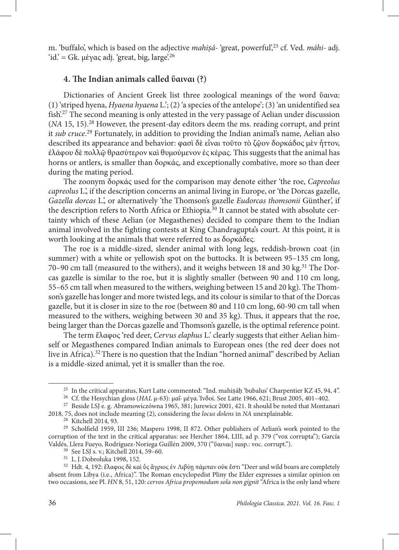m. 'buffalo', which is based on the adjective *mahiṣá-* 'great, powerful',25 cf. Ved. *máhi-* adj. 'id.' = Gk. μέγας adj. 'great, big, large'.<sup>26</sup>

#### **4. The Indian animals called ὕαιναι (?)**

Dictionaries of Ancient Greek list three zoological meanings of the word ὕαινα: (1) 'striped hyena, *Hyaena hyaena* L.'; (2) 'a species of the antelope'; (3) 'an unidentified sea fish.<sup>27</sup> The second meaning is only attested in the very passage of Aelian under discussion (*NA* 15, 15).28 However, the present-day editors deem the ms. reading corrupt, and print it *sub cruce*. 29 Fortunately, in addition to providing the Indian animal's name, Aelian also described its appearance and behavior: φασὶ δὲ εἶναι τοῦτο τὸ ζῷον δορκάδος μὲν ἧττον, ἐλάφου δὲ πολλῷ θρασύτερον καὶ θυμούμενον ἐς κέρας. This suggests that the animal has horns or antlers, is smaller than δορκάς, and exceptionally combative, more so than deer during the mating period.

The zoonym δορκάς used for the comparison may denote either 'the roe, *Capreolus capreolus* L.', if the description concerns an animal living in Europe, or 'the Dorcas gazelle, *Gazella dorcas* L.', or alternatively 'the Thomson's gazelle *Eudorcas thomsonii* Günther', if the description refers to North Africa or Ethiopia.<sup>30</sup> It cannot be stated with absolute certainty which of these Aelian (or Megasthenes) decided to compare them to the Indian animal involved in the fighting contests at King Chandragupta's court. At this point, it is worth looking at the animals that were referred to as δορκάδες.

The roe is a middle-sized, slender animal with long legs, reddish-brown coat (in summer) with a white or yellowish spot on the buttocks. It is between 95–135 cm long, 70-90 cm tall (measured to the withers), and it weighs between 18 and 30 kg.<sup>31</sup> The Dorcas gazelle is similar to the roe, but it is slightly smaller (between 90 and 110 cm long, 55–65 cm tall when measured to the withers, weighing between 15 and 20 kg). The Thomson's gazelle has longer and more twisted legs, and its colour is similar to that of the Dorcas gazelle, but it is closer in size to the roe (between 80 and 110 cm long, 60-90 cm tall when measured to the withers, weighing between 30 and 35 kg). Thus, it appears that the roe, being larger than the Dorcas gazelle and Thomson's gazelle, is the optimal reference point.

The term ἔλαφος 'red deer, *Cervus elaphus* L.' clearly suggests that either Aelian himself or Megasthenes compared Indian animals to European ones (the red deer does not live in Africa).<sup>32</sup> There is no question that the Indian "horned animal" described by Aelian is a middle-sized animal, yet it is smaller than the roe.

<sup>&</sup>lt;sup>25</sup> In the critical apparatus, Kurt Latte commented: "Ind. mahisáḥ 'bubalus' Charpentier KZ 45, 94, 4".<br><sup>26</sup> Cf. the Hesychian gloss (*HAL* µ-63): µαΐ· µέγα. Ἰνδοί. See Latte 1966, 621; Brust 2005, 401–402.<br><sup>27</sup> Beside L

<sup>2018, 75,</sup> does not include meaning (2), considering the *locus dolens* in *NA* unexplainable.

<sup>&</sup>lt;sup>29</sup> Scholfield 1959, III 236; Maspero 1998, II 872. Other publishers of Aelian's work pointed to the corruption of the text in the critical apparatus: see Hercher 1864, LIII, ad p. 379 ("vox corrupta"); García Valdés, Llera Fueyo, Rodríguez-Noriega Guillén 2009, 370 ("ὕαιναι] susp.: voc. corrupt.").

<sup>&</sup>lt;sup>30</sup> See LSJ s. v.; Kitchell 2014, 59–60.<br><sup>31</sup> L. J. Dobroluka 1998, 152.<br><sup>32</sup> Hdt. 4, 192: ἔλαφος δὲ καὶ ὗς ἄγριος ἐν Λιβύῃ πάμπαν οὐκ ἔστι "Deer and wild boars are completely absent from Libya (i.e., Africa)". The Roman encyclopedist Pliny the Elder expresses a similar opinion on two occasions, see Pl. *HN* 8, 51, 120: *cervos Africa propemodum sola non gignit* "Africa is the only land where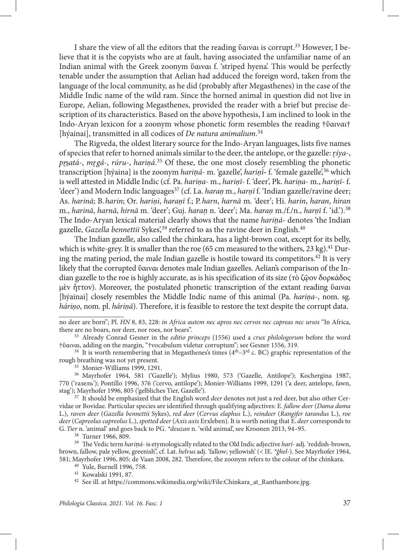I share the view of all the editors that the reading ὕαιναι is corrupt.33 However, I believe that it is the copyists who are at fault, having associated the unfamiliar name of an Indian animal with the Greek zoonym ὕαιναι f. 'striped hyena'. This would be perfectly tenable under the assumption that Aelian had adduced the foreign word, taken from the language of the local community, as he did (probably after Megasthenes) in the case of the Middle Indic name of the wild ram. Since the horned animal in question did not live in Europe, Aelian, following Megasthenes, provided the reader with a brief but precise description of its characteristics. Based on the above hypothesis, I am inclined to look in the Indo-Aryan lexicon for a zoonym whose phonetic form resembles the reading †ὕαιναι† [hýainai], transmitted in all codices of *De natura animalium*. 34

The Rigveda, the oldest literary source for the Indo-Aryan languages, lists five names of species that refer to horned animals similar to the deer, the antelope, or the gazelle: *r*̥ *śya-*, *pr*̥  ṣ*atá-*, *mr*̥ *gá-*, *rúru-*, *hariṇá*. 35 Of these, the one most closely resembling the phonetic transcription [hýaina] is the zoonym *hariṇá-* m. 'gazelle', *hariṇī*́- f. 'female gazelle',36 which is well attested in Middle Indic (cf. Pa. *hariṇa-* m., *hariṇī-* f. 'deer', Pk. *hariṇa-* m., *hariṇī-* f. 'deer') and Modern Indic languages37 (cf. La. *haraṇ* m., *harṇī* f. 'Indian gazelle/ravine deer; As. *harinā*; B.*harin*; Or. *hariṇi*, *haraṇī* f.; P.*harn*, *harnā* m. 'deer'; Hi. *harin*, *haran*, *hiran*  m., *harinā*, *harnā*, *hirnā* m. 'deer'; Guj. *haraṇ* n. 'deer'; Ma. *haraṇ* m./f./n., *harṇī* f. 'id.').38 The Indo-Aryan lexical material clearly shows that the name *hariṇá-* denotes 'the Indian gazelle, *Gazella bennettii* Sykes<sup>'39</sup> referred to as the ravine deer in English.<sup>40</sup>

The Indian gazelle, also called the chinkara, has a light-brown coat, except for its belly, which is white-grey. It is smaller than the roe (65 cm measured to the withers, 23 kg).<sup>41</sup> During the mating period, the male Indian gazelle is hostile toward its competitors.<sup>42</sup> It is very likely that the corrupted ὕαιναι denotes male Indian gazelles. Aelian's comparison of the Indian gazelle to the roe is highly accurate, as is his specification of its size (τὸ ζῷον δορκάδος μὲν ἧττον). Moreover, the postulated phonetic transcription of the extant reading ὕαιναι [hýainai] closely resembles the Middle Indic name of this animal (Pa. *hariṇa*-, nom. sg. *háriṇo*, nom. pl. *háriṇā*). Therefore, it is feasible to restore the text despite the corrupt data.

<sup>36</sup> Mayrhofer 1964, 581 ('Gazelle'); Mylius 1980, 573 ('Gazelle, Antilope'); Kochergina 1987, 770 ('газель'); Pontillo 1996, 376 ('cervo, antilope'); Monier-Williams 1999, 1291 ('a deer, antelope, fawn,

<sup>37</sup> It should be emphasized that the English word *deer* denotes not just a red deer, but also other Cervidae or Bovidae. Particular species are identified through qualifying adjectives: E. *fallow deer* (*Dama dama*  L.), *raven deer* (*Gazella bennettii* Sykes), *red deer* (*Cervus elaphus* L.), *reindeer* (*Rangifer tarandus* L.), *roe deer* (*Capreolus capreolus* L.), *spotted deer* (*Axis axis* Erxleben). It is worth noting that E.*deer* corresponds to G.*Tier* n. 'animal' and goes back to PG. *\*deuzan* n. 'wild animal', see Kroonen 2013, 94–95.

<sup>39</sup> The Vedic term *hariná*- is etymologically related to the Old Indic adjective *harí*- adj. 'reddish-brown, brown, fallow, pale yellow, greenish", cf. Lat. *helvus* adj. 'fallow; yellowish' (< IE. *\*ĝhel-*). See Mayrhofer 1964, 581; Mayrhofer 1996, 805; de Vaan 2008, 282. Therefore, the zoonym refers to the colour of the chinkara.

<sup>41</sup> Kowalski 1991, 87.  $\frac{41}{2}$  See ill. at [https://commons.wikimedia.org/wiki/File:Chinkara\\_at\\_Ranthambore.jpg](https://commons.wikimedia.org/wiki/File:Chinkara_at_Ranthambore.jpg).

no deer are born"; Pl. *HN* 8, 83, 228: *in Africa autem nec apros nec cervos nec capreas nec ursos* "In Africa, there are no boars, nor deer, nor roes, nor bears".

<sup>&</sup>lt;sup>33</sup> Already Conrad Gesner in the *editio princeps* (1556) used a *crux philologorum* before the word †ὕαιναι, adding on the margin, "†vocabulum videtur corruptum"; see Gesner 1556, 319.

<sup>&</sup>lt;sup>34</sup> It is worth remembering that in Megasthenes's times ( $4<sup>th</sup>–3<sup>rd</sup>$  c. BC) graphic representation of the rough breathing was not yet present.<br><sup>35</sup> Monier-Williams 1999, 1291.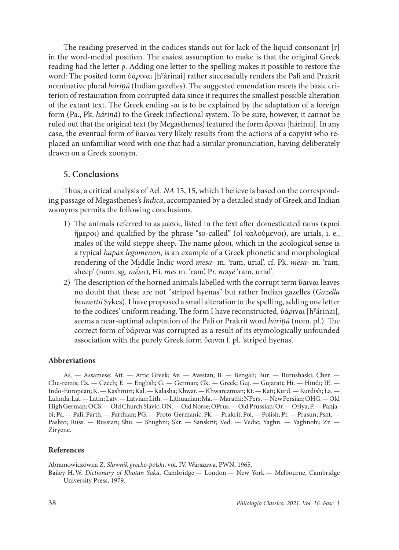The reading preserved in the codices stands out for lack of the liquid consonant [r] in the word-medial position. The easiest assumption to make is that the original Greek reading had the letter ρ. Adding one letter to the spelling makes it possible to restore the word: The posited form ὑάριναι [h<sup>y</sup>árinai] rather successfully renders the Pali and Prakrit nominative plural *háriṇā* (Indian gazelles). The suggested emendation meets the basic criterion of restauration from corrupted data since it requires the smallest possible alteration of the extant text. The Greek ending -αι is to be explained by the adaptation of a foreign form (Pa., Pk. *háriṇā*) to the Greek inflectional system. To be sure, however, it cannot be ruled out that the original text (by Megasthenes) featured the form ἅριναι [hárinai]. In any case, the eventual form of ὕαιναι very likely results from the actions of a copyist who replaced an unfamiliar word with one that had a similar pronunciation, having deliberately drawn on a Greek zoonym.

## **5. Conclusions**

Thus, a critical analysis of Ael. *NA* 15, 15, which I believe is based on the corresponding passage of Megasthenes's *Indica*, accompanied by a detailed study of Greek and Indian zoonyms permits the following conclusions.

- 1) The animals referred to as μέσοι, listed in the text after domesticated rams (κριοὶ ἥμεροι) and qualified by the phrase "so-called" (οἱ καλούμενοι), are urials, i. e., males of the wild steppe sheep. The name μέσοι, which in the zoological sense is a typical *hapax legomenon*, is an example of a Greek phonetic and morphological rendering of the Middle Indic word *mēsa-* m. 'ram, urial', cf. Pk. *mēsa-* m. 'ram, sheep' (nom. sg. *mḗso*), Hi. *mes* m. 'ram', Pr. *məṣé* 'ram, urial'.
- 2) The description of the horned animals labelled with the corrupt term ὕαιναι leaves no doubt that these are not "striped hyenas" but rather Indian gazelles (*Gazella bennettii* Sykes). I have proposed a small alteration to the spelling, adding one letter to the codices' uniform reading. The form I have reconstructed, ὑά*ρ*ιναι [hy árinai], seems a near-optimal adaptation of the Pali or Prakrit word *háriṇā* (nom. pl.). The correct form of ὑάριναι was corrupted as a result of its etymologically unfounded association with the purely Greek form ὕαιναι f. pl. 'striped hyenas'.

### **Abbreviations**

As. — Assamese; Att. — Attic Greek; Av. — Avestan; B. — Bengali; Bur. — Burushaski; Cher. — Che-remis; Cz. — Czech; E. — English; G. — German; Gk. — Greek; Guj. — Gujarati; Hi. — Hindi; IE. — Indo-European; K. — Kashmiri; Kal. — Kalasha; Khwar. — Khwarezmian; Kt. — Kati; Kurd. — Kurdish; La. — Lahnda; Lat. — Latin; Latv. — Latvian; Lith. — Lithuanian; Ma. — Marathi; NPers. — New Persian; OHG. — Old High German; OCS. — Old Church Slavic; ON. — Old Norse; OPrus. — Old Prussian; Or. — Oriya; P. — Panjabi; Pa. — Pali; Parth. — Parthian; PG. — Proto-Germanic; Pk. — Prakrit; Pol. — Polish; Pr. — Prasun; Psht. — Pashto; Russ. — Russian; Shu. — Shughni; Skr. — Sanskrit; Ved. — Vedic; Yaghn. — Yaghnobi; Zr. — Ziryene.

### **References**

Abramowiczówna Z. *Słownik grecko-polski*, vol. IV. Warszawa, PWN, 1965.

Bailey H.W. *Dictionary of Khotan Saka*. Cambridge — London — New York — Melbourne, Cambridge University Press, 1979.